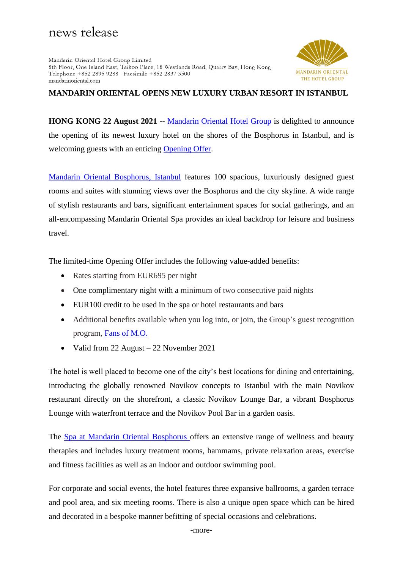# news release

Mandarin Oriental Hotel Group Limited 8th Floor, One Island East, Taikoo Place, 18 Westlands Road, Quarry Bay, Hong Kong Telephone +852 2895 9288 Facsimile +852 2837 3500 mandarinoriental.com



## **MANDARIN ORIENTAL OPENS NEW LUXURY URBAN RESORT IN ISTANBUL**

**HONG KONG 22 August 2021** -- [Mandarin Oriental Hotel Group](https://www.mandarinoriental.com/) is delighted to announce the opening of its newest luxury hotel on the shores of the Bosphorus in Istanbul, and is welcoming guests with an enticing [Opening Offer.](https://www.mandarinoriental.com/istanbul/bosphorus/luxury-hotel/offers/opening-offer)

[Mandarin Oriental Bosphorus, Istanbul](https://www.mandarinoriental.com/istanbul/bosphorus/luxury-hotel) features 100 spacious, luxuriously designed guest rooms and suites with stunning views over the Bosphorus and the city skyline. A wide range of stylish restaurants and bars, significant entertainment spaces for social gatherings, and an all-encompassing Mandarin Oriental Spa provides an ideal backdrop for leisure and business travel.

The limited-time Opening Offer includes the following value-added benefits:

- Rates starting from EUR695 per night
- One complimentary night with a minimum of two consecutive paid nights
- EUR100 credit to be used in the spa or hotel restaurants and bars
- Additional benefits available when you log into, or join, the Group's guest recognition program, [Fans of M.O.](https://www.mandarinoriental.com/fans-of-mo/benefits-enrolment)
- Valid from 22 August 22 November 2021

The hotel is well placed to become one of the city's best locations for dining and entertaining, introducing the globally renowned Novikov concepts to Istanbul with the main Novikov restaurant directly on the shorefront, a classic Novikov Lounge Bar, a vibrant Bosphorus Lounge with waterfront terrace and the Novikov Pool Bar in a garden oasis.

The Spa at Mandarin Oriental Bosphorus offers an extensive range of wellness and beauty therapies and includes luxury treatment rooms, hammams, private relaxation areas, exercise and fitness facilities as well as an indoor and outdoor swimming pool.

For corporate and social events, the hotel features three expansive ballrooms, a garden terrace and pool area, and six meeting rooms. There is also a unique open space which can be hired and decorated in a bespoke manner befitting of special occasions and celebrations.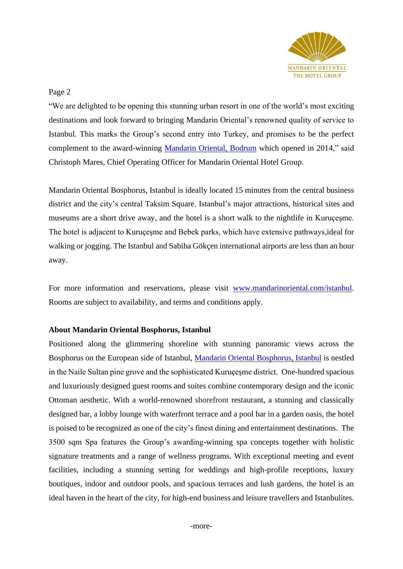

## Page 2

"We are delighted to be opening this stunning urban resort in one of the world's most exciting destinations and look forward to bringing Mandarin Oriental's renowned quality of service to Istanbul. This marks the Group's second entry into Turkey, and promises to be the perfect complement to the award-winning [Mandarin Oriental, Bodrum](https://www.mandarinoriental.com/bodrum/paradise-bay/luxury-hotel) which opened in 2014," said Christoph Mares, Chief Operating Officer for Mandarin Oriental Hotel Group.

Mandarin Oriental Bosphorus, Istanbul is ideally located 15 minutes from the central business district and the city's central Taksim Square. Istanbul's major attractions, historical sites and museums are a short drive away, and the hotel is a short walk to the nightlife in Kuruçeşme. The hotel is adjacent to Kuruçeşme and Bebek parks, which have extensive pathways,ideal for walking or jogging. The Istanbul and Sabiha Gökçen international airports are less than an hour away.

For more information and reservations, please visit [www.mandarinoriental.com/istanbul.](http://www.mandarinoriental.com/istanbul) Rooms are subject to availability, and terms and conditions apply.

#### **About Mandarin Oriental Bosphorus, Istanbul**

Positioned along the glimmering shoreline with stunning panoramic views across the Bosphorus on the European side of Istanbul, [Mandarin Oriental Bosphorus, Istanbul](https://www.mandarinoriental.com/istanbul/bosphorus/luxury-hotel) is nestled in the Naile Sultan pine grove and the sophisticated Kuruçeşme district. One-hundred spacious and luxuriously designed guest rooms and suites combine contemporary design and the iconic Ottoman aesthetic. With a world-renowned shorefront restaurant, a stunning and classically designed bar, a lobby lounge with waterfront terrace and a pool bar in a garden oasis, the hotel is poised to be recognized as one of the city's finest dining and entertainment destinations. The 3500 sqm Spa features the Group's awarding-winning spa concepts together with holistic signature treatments and a range of wellness programs. With exceptional meeting and event facilities, including a stunning setting for weddings and high-profile receptions, luxury boutiques, indoor and outdoor pools, and spacious terraces and lush gardens, the hotel is an ideal haven in the heart of the city, for high-end business and leisure travellers and Istanbulites.